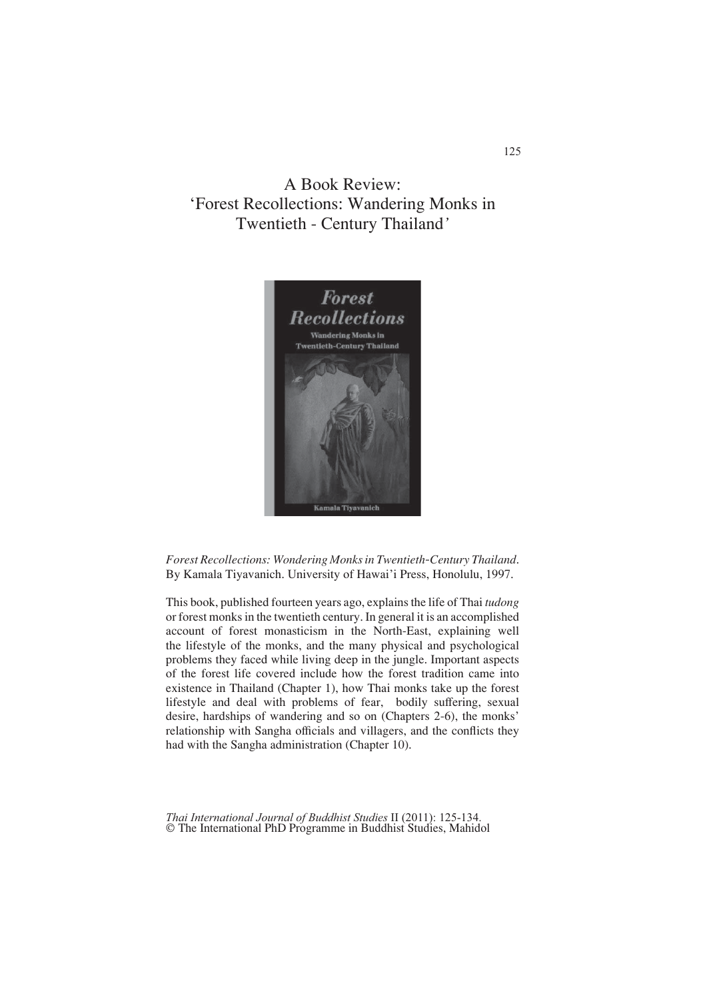A Book Review: 'Forest Recollections: Wandering Monks in Twentieth - Century Thailand*'*



*Forest Recollections: Wondering Monks in Twentieth-Century Thailand*. By Kamala Tiyavanich. University of Hawai'i Press, Honolulu, 1997.

This book, published fourteen years ago, explains the life of Thai *tudong* or forest monks in the twentieth century. In general it is an accomplished account of forest monasticism in the North-East, explaining well the lifestyle of the monks, and the many physical and psychological problems they faced while living deep in the jungle. Important aspects of the forest life covered include how the forest tradition came into existence in Thailand (Chapter 1), how Thai monks take up the forest lifestyle and deal with problems of fear, bodily suffering, sexual desire, hardships of wandering and so on (Chapters 2-6), the monks' relationship with Sangha officials and villagers, and the conflicts they had with the Sangha administration (Chapter 10).

*Thai International Journal of Buddhist Studies* II (2011): 125-134. © The International PhD Programme in Buddhist Studies, Mahidol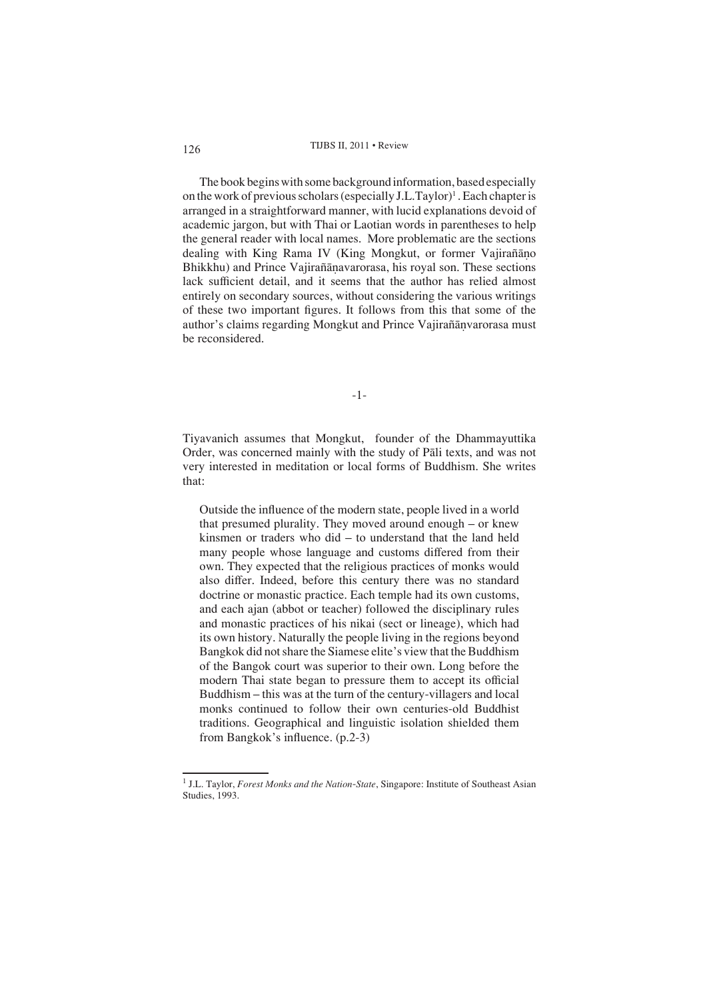The book begins with some background information, based especially on the work of previous scholars (especially J.L.Taylor)<sup>1</sup>. Each chapter is arranged in a straightforward manner, with lucid explanations devoid of academic jargon, but with Thai or Laotian words in parentheses to help the general reader with local names. More problematic are the sections dealing with King Rama IV (King Mongkut, or former Vajirañāno Bhikkhu) and Prince Vajirañavarorasa, his royal son. These sections lack sufficient detail, and it seems that the author has relied almost entirely on secondary sources, without considering the various writings of these two important figures. It follows from this that some of the author's claims regarding Mongkut and Prince Vajirañānvarorasa must be reconsidered.

-1-

Tiyavanich assumes that Mongkut, founder of the Dhammayuttika Order, was concerned mainly with the study of Pali texts, and was not very interested in meditation or local forms of Buddhism. She writes that:

Outside the influence of the modern state, people lived in a world that presumed plurality. They moved around enough – or knew kinsmen or traders who did – to understand that the land held many people whose language and customs differed from their own. They expected that the religious practices of monks would also differ. Indeed, before this century there was no standard doctrine or monastic practice. Each temple had its own customs, and each ajan (abbot or teacher) followed the disciplinary rules and monastic practices of his nikai (sect or lineage), which had its own history. Naturally the people living in the regions beyond Bangkok did not share the Siamese elite's view that the Buddhism of the Bangok court was superior to their own. Long before the modern Thai state began to pressure them to accept its official Buddhism – this was at the turn of the century-villagers and local monks continued to follow their own centuries-old Buddhist traditions. Geographical and linguistic isolation shielded them from Bangkok's influence.  $(p.2-3)$ 

<sup>&</sup>lt;sup>1</sup> J.L. Taylor, *Forest Monks and the Nation-State*, Singapore: Institute of Southeast Asian Studies, 1993.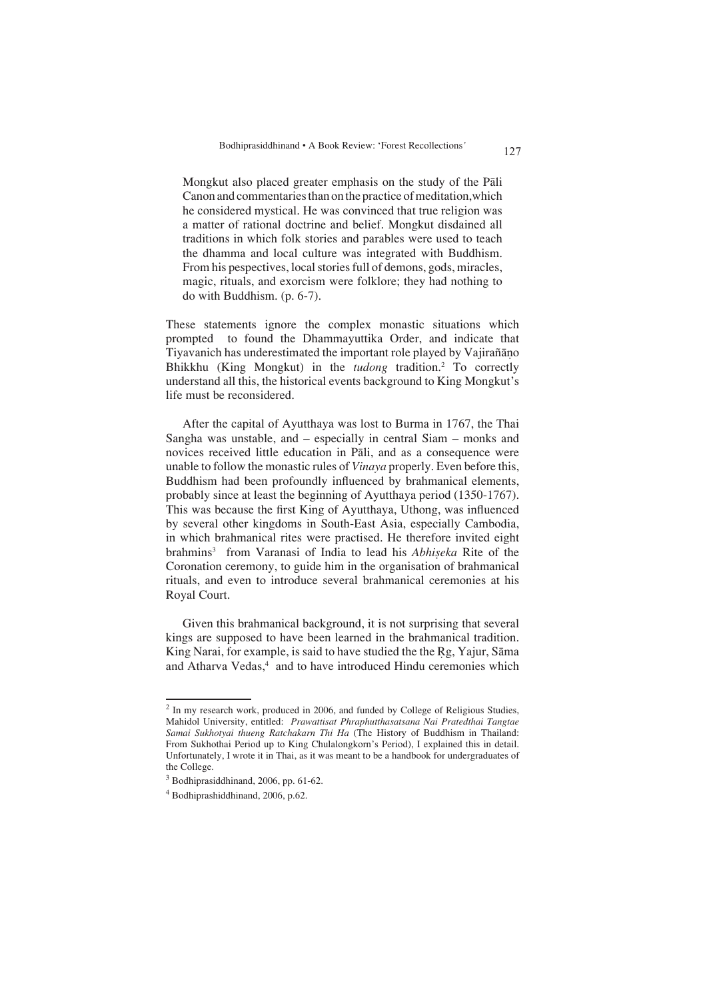Mongkut also placed greater emphasis on the study of the Pali Canon and commentaries than on the practice of meditation,which he considered mystical. He was convinced that true religion was a matter of rational doctrine and belief. Mongkut disdained all traditions in which folk stories and parables were used to teach the dhamma and local culture was integrated with Buddhism. From his pespectives, local stories full of demons, gods, miracles, magic, rituals, and exorcism were folklore; they had nothing to do with Buddhism. (p. 6-7).

These statements ignore the complex monastic situations which prompted to found the Dhammayuttika Order, and indicate that Tiyavanich has underestimated the important role played by Vajirañano Bhikkhu (King Mongkut) in the *tudong* tradition.2 To correctly understand all this, the historical events background to King Mongkut's life must be reconsidered.

After the capital of Ayutthaya was lost to Burma in 1767, the Thai Sangha was unstable, and – especially in central Siam – monks and novices received little education in Pali, and as a consequence were unable to follow the monastic rules of *Vinaya* properly. Even before this, Buddhism had been profoundly influenced by brahmanical elements, probably since at least the beginning of Ayutthaya period (1350-1767). This was because the first King of Ayutthaya, Uthong, was influenced by several other kingdoms in South-East Asia, especially Cambodia, in which brahmanical rites were practised. He therefore invited eight brahmins<sup>3</sup> from Varanasi of India to lead his *Abhiseka* Rite of the Coronation ceremony, to guide him in the organisation of brahmanical rituals, and even to introduce several brahmanical ceremonies at his Royal Court.

Given this brahmanical background, it is not surprising that several kings are supposed to have been learned in the brahmanical tradition. King Narai, for example, is said to have studied the the Rg, Yajur, Sama and Atharva Vedas,<sup>4</sup> and to have introduced Hindu ceremonies which

<sup>&</sup>lt;sup>2</sup> In my research work, produced in 2006, and funded by College of Religious Studies, Mahidol University, entitled: *Prawattisat Phraphutthasatsana Nai Pratedthai Tangtae Samai Sukhotyai thueng Ratchakarn Thi Ha* (The History of Buddhism in Thailand: From Sukhothai Period up to King Chulalongkorn's Period), I explained this in detail. Unfortunately, I wrote it in Thai, as it was meant to be a handbook for undergraduates of the College.

<sup>&</sup>lt;sup>3</sup> Bodhiprasiddhinand, 2006, pp. 61-62.

<sup>4</sup> Bodhiprashiddhinand, 2006, p.62.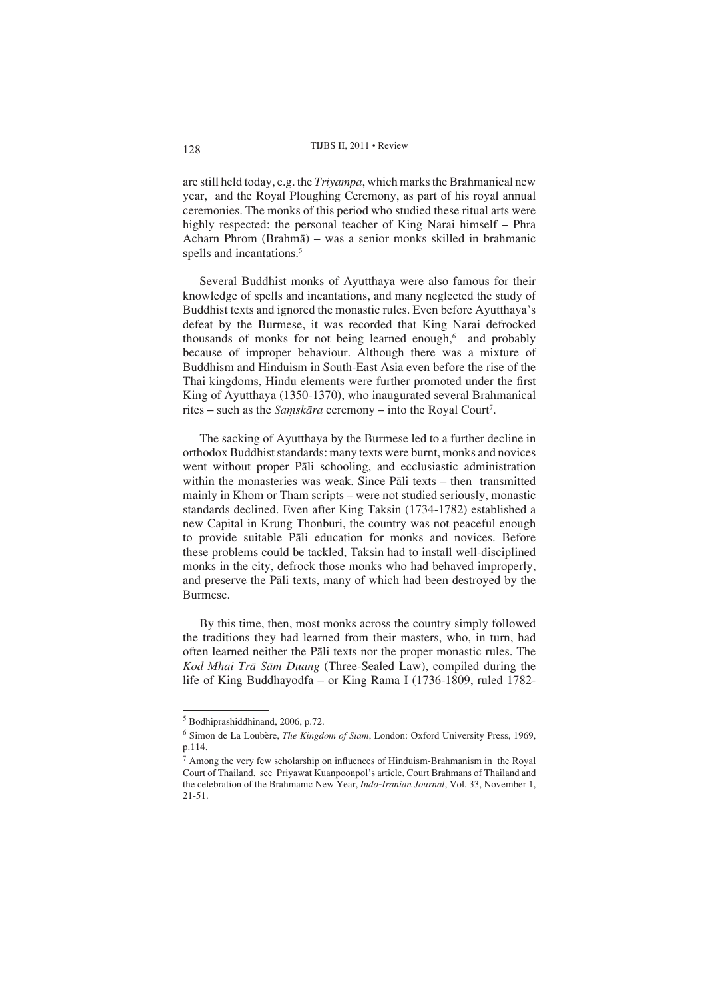are still held today, e.g. the *Triyampa*, which marks the Brahmanical new year, and the Royal Ploughing Ceremony, as part of his royal annual ceremonies. The monks of this period who studied these ritual arts were highly respected: the personal teacher of King Narai himself – Phra Acharn Phrom (Brahmā) – was a senior monks skilled in brahmanic spells and incantations.<sup>5</sup>

Several Buddhist monks of Ayutthaya were also famous for their knowledge of spells and incantations, and many neglected the study of Buddhist texts and ignored the monastic rules. Even before Ayutthaya's defeat by the Burmese, it was recorded that King Narai defrocked thousands of monks for not being learned enough,<sup>6</sup> and probably because of improper behaviour. Although there was a mixture of Buddhism and Hinduism in South-East Asia even before the rise of the Thai kingdoms, Hindu elements were further promoted under the first King of Ayutthaya (1350-1370), who inaugurated several Brahmanical rites – such as the *Samskāra* ceremony – into the Royal Court<sup>7</sup>.

The sacking of Ayutthaya by the Burmese led to a further decline in orthodox Buddhist standards: many texts were burnt, monks and novices went without proper Pāli schooling, and ecclusiastic administration within the monasteries was weak. Since Pali texts  $-$  then transmitted mainly in Khom or Tham scripts – were not studied seriously, monastic standards declined. Even after King Taksin (1734-1782) established a new Capital in Krung Thonburi, the country was not peaceful enough to provide suitable Pāli education for monks and novices. Before these problems could be tackled, Taksin had to install well-disciplined monks in the city, defrock those monks who had behaved improperly, and preserve the Pali texts, many of which had been destroyed by the Burmese.

By this time, then, most monks across the country simply followed the traditions they had learned from their masters, who, in turn, had often learned neither the Pali texts nor the proper monastic rules. The *Kod Mhai Trā Sām Duang* (Three-Sealed Law), compiled during the life of King Buddhayodfa – or King Rama I (1736-1809, ruled 1782-

<sup>&</sup>lt;sup>5</sup> Bodhiprashiddhinand, 2006, p.72.

<sup>6</sup> Simon de La Loubère, *The Kingdom of Siam*, London: Oxford University Press, 1969, p.114.

 $<sup>7</sup>$  Among the very few scholarship on influences of Hinduism-Brahmanism in the Royal</sup> Court of Thailand, see Priyawat Kuanpoonpol's article, Court Brahmans of Thailand and the celebration of the Brahmanic New Year, *Indo-Iranian Journal*, Vol. 33, November 1, 21-51.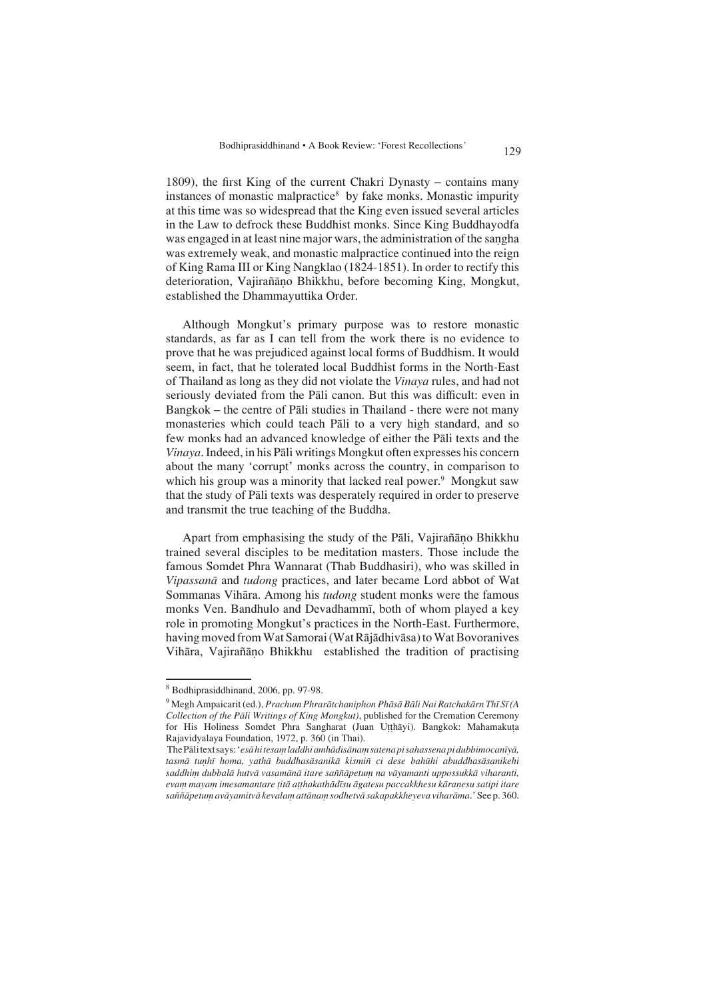1809), the first King of the current Chakri Dynasty – contains many instances of monastic malpractice<sup>8</sup> by fake monks. Monastic impurity at this time was so widespread that the King even issued several articles in the Law to defrock these Buddhist monks. Since King Buddhayodfa was engaged in at least nine major wars, the administration of the sagha was extremely weak, and monastic malpractice continued into the reign of King Rama III or King Nangklao (1824-1851). In order to rectify this deterioration, Vajirañāno Bhikkhu, before becoming King, Mongkut, established the Dhammayuttika Order.

Although Mongkut's primary purpose was to restore monastic standards, as far as I can tell from the work there is no evidence to prove that he was prejudiced against local forms of Buddhism. It would seem, in fact, that he tolerated local Buddhist forms in the North-East of Thailand as long as they did not violate the *Vinaya* rules, and had not seriously deviated from the Pali canon. But this was difficult: even in Bangkok – the centre of Pāli studies in Thailand - there were not many monasteries which could teach Pāli to a very high standard, and so few monks had an advanced knowledge of either the Pali texts and the *Vinaya*. Indeed, in his Pali writings Mongkut often expresses his concern about the many 'corrupt' monks across the country, in comparison to which his group was a minority that lacked real power.<sup>9</sup> Mongkut saw that the study of Pali texts was desperately required in order to preserve and transmit the true teaching of the Buddha.

Apart from emphasising the study of the Pāli, Vajirañāno Bhikkhu trained several disciples to be meditation masters. Those include the famous Somdet Phra Wannarat (Thab Buddhasiri), who was skilled in *Vipassanā* and *tudong* practices, and later became Lord abbot of Wat Sommanas Vihāra. Among his *tudong* student monks were the famous monks Ven. Bandhulo and Devadhamm , both of whom played a key role in promoting Mongkut's practices in the North-East. Furthermore, having moved from Wat Samorai (Wat Rājādhivāsa) to Wat Bovoranives Vihāra, Vajirañāno Bhikkhu established the tradition of practising

<sup>8</sup> Bodhiprasiddhinand, 2006, pp. 97-98.

<sup>&</sup>lt;sup>9</sup> Megh Ampaicarit (ed.), *Prachum Phrarātchaniphon Phāsā Bāli Nai Ratchakārn Thī Sī (A Collection of the Pāli Writings of King Mongkut)*, published for the Cremation Ceremony for His Holiness Somdet Phra Sangharat (Juan Utthayi). Bangkok: Mahamakuta Rajavidyalaya Foundation, 1972, p. 360 (in Thai).

The Pāli text says: '*esā hi tesam laddhi amhādisānam satena pi sahassena pi dubbimocanīyā*, tasmā tunhī homa, yathā buddhasāsanikā kismiñ ci dese bahūhi abuddhasāsanikehi saddhim dubbalā hutvā vasamānā itare saññāpetum na vāyamanti uppossukkā viharanti,  $e$ vam mayam imesamantare titā atthakathādīsu āgatesu paccakkhesu kāraņesu satipi itare saññāpetum avāyamitvā kevalam attānam sodhetvā sakapakkheyeva viharāma.' See p. 360.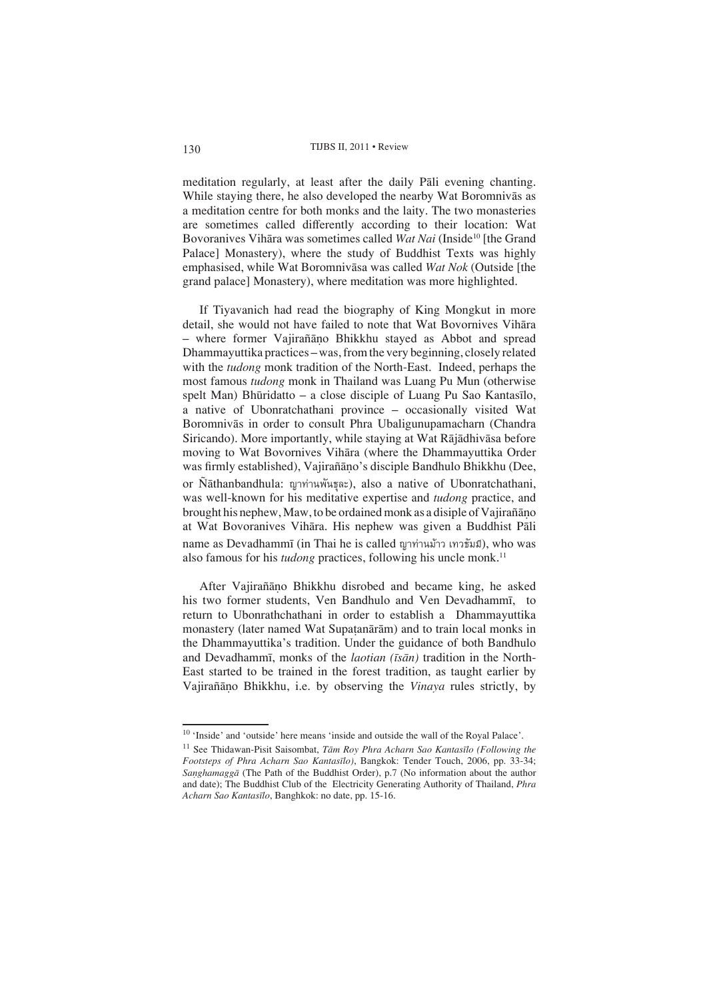meditation regularly, at least after the daily Pali evening chanting. While staying there, he also developed the nearby Wat Boromnivas as a meditation centre for both monks and the laity. The two monasteries are sometimes called differently according to their location: Wat Bovoranives Vihāra was sometimes called *Wat Nai* (Inside<sup>10</sup> [the Grand Palace] Monastery), where the study of Buddhist Texts was highly emphasised, while Wat Boromnivasa was called *Wat Nok* (Outside [the grand palace] Monastery), where meditation was more highlighted.

If Tiyavanich had read the biography of King Mongkut in more detail, she would not have failed to note that Wat Bovornives Vihara – where former Vajirañāno Bhikkhu stayed as Abbot and spread Dhammayuttika practices – was, from the very beginning, closely related with the *tudong* monk tradition of the North-East. Indeed, perhaps the most famous *tudong* monk in Thailand was Luang Pu Mun (otherwise spelt Man) Bhridatto – a close disciple of Luang Pu Sao Kantas lo, a native of Ubonratchathani province – occasionally visited Wat Boromnivās in order to consult Phra Ubaligunupamacharn (Chandra Siricando). More importantly, while staying at Wat Rājādhivāsa before moving to Wat Bovornives Vihara (where the Dhammayuttika Order was firmly established), Vajirañāno's disciple Bandhulo Bhikkhu (Dee, or Ñathanbandhula: ญาท่านพันธุละ), also a native of Ubonratchathani, was well-known for his meditative expertise and *tudong* practice, and brought his nephew, Maw, to be ordained monk as a disiple of Vajirañano at Wat Bovoranives Vihāra. His nephew was given a Buddhist Pāli name as Devadhammī (in Thai he is called ญาท่านม้าว เทวรัมมี), who was also famous for his *tudong* practices, following his uncle monk.<sup>11</sup>

After Vajirañāno Bhikkhu disrobed and became king, he asked his two former students, Ven Bandhulo and Ven Devadhamm , to return to Ubonrathchathani in order to establish a Dhammayuttika monastery (later named Wat Supatanārām) and to train local monks in the Dhammayuttika's tradition. Under the guidance of both Bandhulo and Devadhammi, monks of the *laotian (isan)* tradition in the North-East started to be trained in the forest tradition, as taught earlier by Vajiraño Bhikkhu, i.e. by observing the *Vinaya* rules strictly, by

<sup>&</sup>lt;sup>10</sup> 'Inside' and 'outside' here means 'inside and outside the wall of the Royal Palace'.

<sup>&</sup>lt;sup>11</sup> See Thidawan-Pisit Saisombat, *Tām Roy Phra Acharn Sao Kantasīlo (Following the Footsteps of Phra Acharn Sao Kantaslo)*, Bangkok: Tender Touch, 2006, pp. 33-34; *Sanghamaggā* (The Path of the Buddhist Order), p.7 (No information about the author and date); The Buddhist Club of the Electricity Generating Authority of Thailand, *Phra Acharn Sao Kantaslo*, Banghkok: no date, pp. 15-16.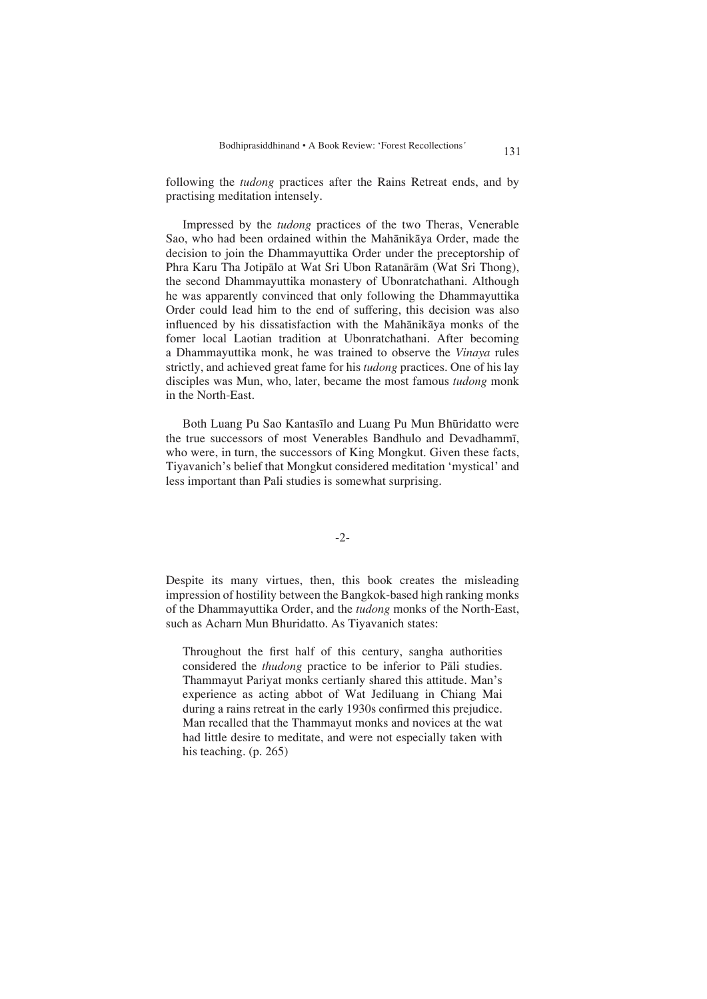following the *tudong* practices after the Rains Retreat ends, and by practising meditation intensely.

Impressed by the *tudong* practices of the two Theras, Venerable Sao, who had been ordained within the Mahānikāya Order, made the decision to join the Dhammayuttika Order under the preceptorship of Phra Karu Tha Jotipalo at Wat Sri Ubon Ratanaram (Wat Sri Thong), the second Dhammayuttika monastery of Ubonratchathani. Although he was apparently convinced that only following the Dhammayuttika Order could lead him to the end of suffering, this decision was also influenced by his dissatisfaction with the Mahanikaya monks of the fomer local Laotian tradition at Ubonratchathani. After becoming a Dhammayuttika monk, he was trained to observe the *Vinaya* rules strictly, and achieved great fame for his *tudong* practices. One of his lay disciples was Mun, who, later, became the most famous *tudong* monk in the North-East.

Both Luang Pu Sao Kantas lo and Luang Pu Mun Bhridatto were the true successors of most Venerables Bandhulo and Devadhamm , who were, in turn, the successors of King Mongkut. Given these facts, Tiyavanich's belief that Mongkut considered meditation 'mystical' and less important than Pali studies is somewhat surprising.

## -2-

Despite its many virtues, then, this book creates the misleading impression of hostility between the Bangkok-based high ranking monks of the Dhammayuttika Order, and the *tudong* monks of the North-East, such as Acharn Mun Bhuridatto. As Tiyavanich states:

Throughout the first half of this century, sangha authorities considered the *thudong* practice to be inferior to Pali studies. Thammayut Pariyat monks certianly shared this attitude. Man's experience as acting abbot of Wat Jediluang in Chiang Mai during a rains retreat in the early 1930s confirmed this prejudice. Man recalled that the Thammayut monks and novices at the wat had little desire to meditate, and were not especially taken with his teaching. (p. 265)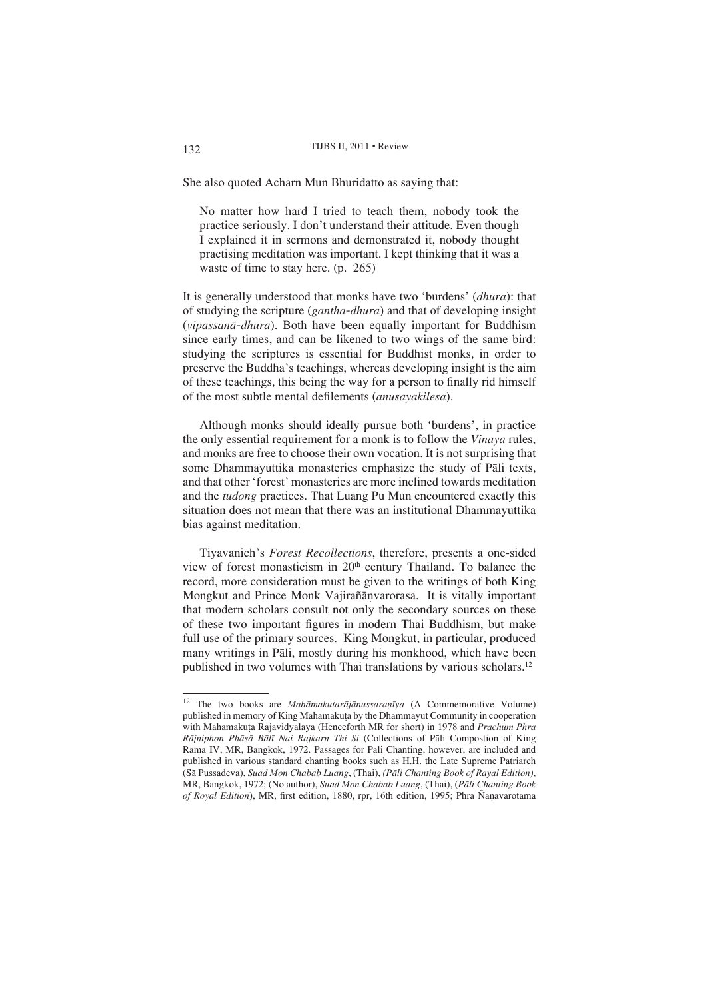She also quoted Acharn Mun Bhuridatto as saying that:

No matter how hard I tried to teach them, nobody took the practice seriously. I don't understand their attitude. Even though I explained it in sermons and demonstrated it, nobody thought practising meditation was important. I kept thinking that it was a waste of time to stay here. (p. 265)

It is generally understood that monks have two 'burdens' (*dhura*): that of studying the scripture (*gantha-dhura*) and that of developing insight (*vipassanā-dhura*). Both have been equally important for Buddhism since early times, and can be likened to two wings of the same bird: studying the scriptures is essential for Buddhist monks, in order to preserve the Buddha's teachings, whereas developing insight is the aim of these teachings, this being the way for a person to finally rid himself of the most subtle mental defilements (*anusayakilesa*).

Although monks should ideally pursue both 'burdens', in practice the only essential requirement for a monk is to follow the *Vinaya* rules, and monks are free to choose their own vocation. It is not surprising that some Dhammayuttika monasteries emphasize the study of Pāli texts, and that other 'forest' monasteries are more inclined towards meditation and the *tudong* practices. That Luang Pu Mun encountered exactly this situation does not mean that there was an institutional Dhammayuttika bias against meditation.

Tiyavanich's *Forest Recollections*, therefore, presents a one-sided view of forest monasticism in 20<sup>th</sup> century Thailand. To balance the record, more consideration must be given to the writings of both King Mongkut and Prince Monk Vajirañānvarorasa. It is vitally important that modern scholars consult not only the secondary sources on these of these two important figures in modern Thai Buddhism, but make full use of the primary sources. King Mongkut, in particular, produced many writings in Pāli, mostly during his monkhood, which have been published in two volumes with Thai translations by various scholars.12

<sup>&</sup>lt;sup>12</sup> The two books are *Mahāmakutarājānussaranīya* (A Commemorative Volume) published in memory of King Mahāmakuta by the Dhammayut Community in cooperation with Mahamakua Rajavidyalaya (Henceforth MR for short) in 1978 and *Prachum Phra Rājniphon Phāsā Bālī Nai Rajkarn Thi Si* (Collections of Pāli Compostion of King Rama IV, MR, Bangkok, 1972. Passages for Pali Chanting, however, are included and published in various standard chanting books such as H.H. the Late Supreme Patriarch (S Pussadeva), *Suad Mon Chabab Luang*, (Thai), *(Pli Chanting Book of Rayal Edition)*, MR, Bangkok, 1972; (No author), *Suad Mon Chabab Luang*, (Thai), (Pāli Chanting Book of Royal Edition), MR, first edition, 1880, rpr, 16th edition, 1995; Phra Ñānavarotama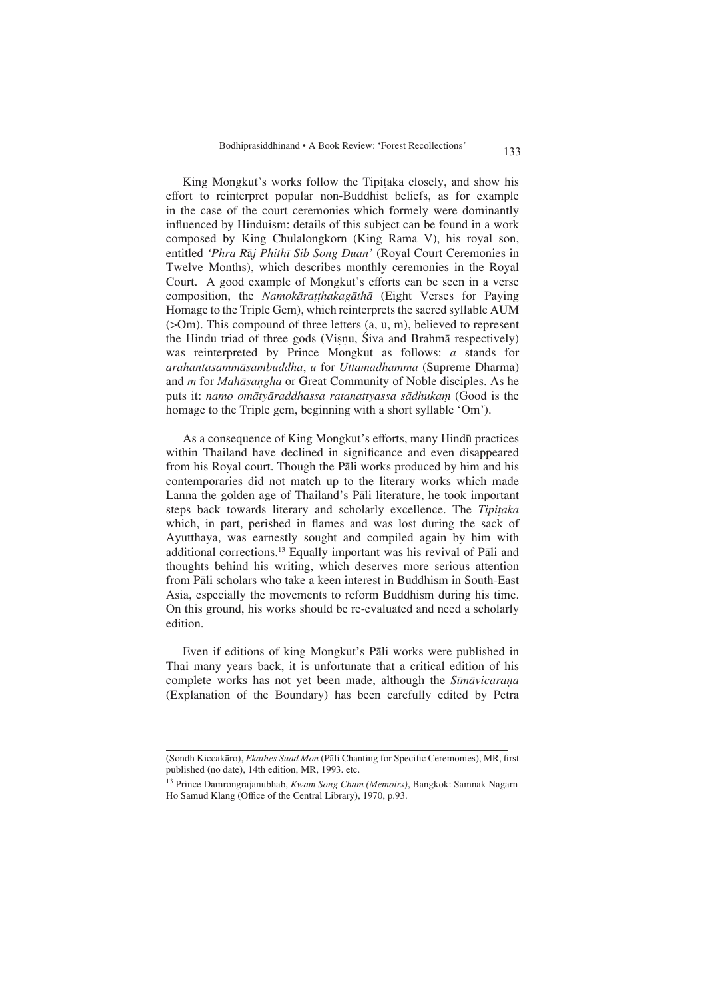King Mongkut's works follow the Tipiaka closely, and show his effort to reinterpret popular non-Buddhist beliefs, as for example in the case of the court ceremonies which formely were dominantly influenced by Hinduism: details of this subject can be found in a work composed by King Chulalongkorn (King Rama V), his royal son, entitled 'Phra Raj Phithī Sib Song Duan' (Royal Court Ceremonies in Twelve Months), which describes monthly ceremonies in the Royal Court. A good example of Mongkut's efforts can be seen in a verse composition, the *Namokāratthakagāthā* (Eight Verses for Paying Homage to the Triple Gem), which reinterprets the sacred syllable AUM (>Om). This compound of three letters (a, u, m), believed to represent the Hindu triad of three gods (Visnu, Siva and Brahma respectively) was reinterpreted by Prince Mongkut as follows: *a* stands for *arahantasammsambuddha*, *u* for *Uttamadhamma* (Supreme Dharma) and *m* for *Mahāsangha* or Great Community of Noble disciples. As he puts it: *namo omātyāraddhassa ratanattyassa sādhukam* (Good is the homage to the Triple gem, beginning with a short syllable 'Om').

As a consequence of King Mongkut's efforts, many Hindū practices within Thailand have declined in significance and even disappeared from his Royal court. Though the Pali works produced by him and his contemporaries did not match up to the literary works which made Lanna the golden age of Thailand's Pali literature, he took important steps back towards literary and scholarly excellence. The *Tipiaka* which, in part, perished in flames and was lost during the sack of Ayutthaya, was earnestly sought and compiled again by him with additional corrections.<sup>13</sup> Equally important was his revival of Pali and thoughts behind his writing, which deserves more serious attention from Pāli scholars who take a keen interest in Buddhism in South-East Asia, especially the movements to reform Buddhism during his time. On this ground, his works should be re-evaluated and need a scholarly edition.

Even if editions of king Mongkut's Pali works were published in Thai many years back, it is unfortunate that a critical edition of his complete works has not yet been made, although the *Sīmāvicarana* (Explanation of the Boundary) has been carefully edited by Petra

13 Prince Damrongrajanubhab, *Kwam Song Cham (Memoirs)*, Bangkok: Samnak Nagarn Ho Samud Klang (Office of the Central Library), 1970, p.93.

<sup>(</sup>Sondh Kiccakāro), *Ekathes Suad Mon* (Pāli Chanting for Specific Ceremonies), MR, first published (no date), 14th edition, MR, 1993. etc.